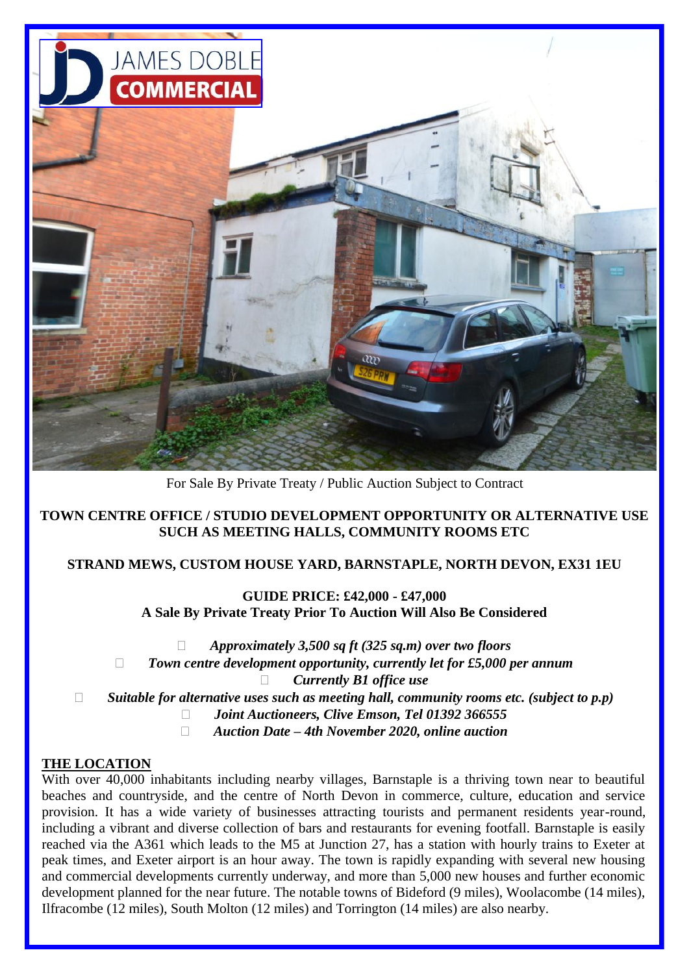

For Sale By Private Treaty / Public Auction Subject to Contract

## **TOWN CENTRE OFFICE / STUDIO DEVELOPMENT OPPORTUNITY OR ALTERNATIVE USE SUCH AS MEETING HALLS, COMMUNITY ROOMS ETC**

#### **STRAND MEWS, CUSTOM HOUSE YARD, BARNSTAPLE, NORTH DEVON, EX31 1EU**

**GUIDE PRICE: £42,000 - £47,000 A Sale By Private Treaty Prior To Auction Will Also Be Considered**

*Approximately 3,500 sq ft (325 sq.m) over two floors* 

*Town centre development opportunity, currently let for £5,000 per annum*

*Currently B1 office use*

*Suitable for alternative uses such as meeting hall, community rooms etc. (subject to p.p)* 

- *Joint Auctioneers, Clive Emson, Tel 01392 366555*
- *Auction Date – 4th November 2020, online auction*

#### **THE LOCATION**

With over 40,000 inhabitants including nearby villages, Barnstaple is a thriving town near to beautiful beaches and countryside, and the centre of North Devon in commerce, culture, education and service provision. It has a wide variety of businesses attracting tourists and permanent residents year-round, including a vibrant and diverse collection of bars and restaurants for evening footfall. Barnstaple is easily reached via the A361 which leads to the M5 at Junction 27, has a station with hourly trains to Exeter at peak times, and Exeter airport is an hour away. The town is rapidly expanding with several new housing and commercial developments currently underway, and more than 5,000 new houses and further economic development planned for the near future. The notable towns of Bideford (9 miles), Woolacombe (14 miles), Ilfracombe (12 miles), South Molton (12 miles) and Torrington (14 miles) are also nearby.